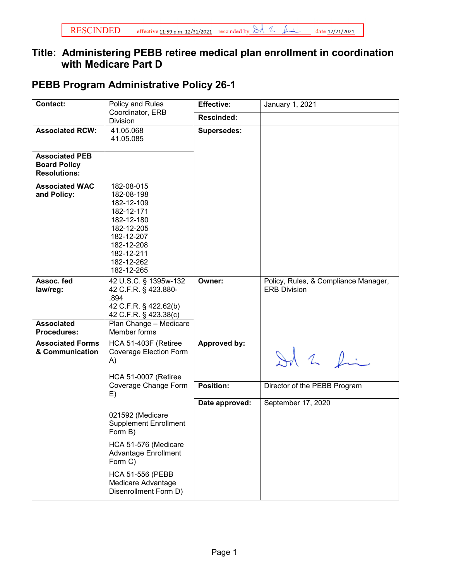## **Title: Administering PEBB retiree medical plan enrollment in coordination with Medicare Part D**

## **PEBB Program Administrative Policy 26-1**

| Division<br><b>Associated RCW:</b><br><b>Associated PEB</b><br><b>Board Policy</b><br><b>Resolutions:</b> | Coordinator, ERB<br>41.05.068<br>41.05.085<br>182-08-015                                                                                                            | Rescinded:<br><b>Supersedes:</b> |                                                             |
|-----------------------------------------------------------------------------------------------------------|---------------------------------------------------------------------------------------------------------------------------------------------------------------------|----------------------------------|-------------------------------------------------------------|
|                                                                                                           |                                                                                                                                                                     |                                  |                                                             |
|                                                                                                           |                                                                                                                                                                     |                                  |                                                             |
|                                                                                                           |                                                                                                                                                                     |                                  |                                                             |
| <b>Associated WAC</b><br>and Policy:                                                                      | 182-08-198<br>182-12-109<br>182-12-171<br>182-12-180<br>182-12-205<br>182-12-207<br>182-12-208<br>182-12-211<br>182-12-262<br>182-12-265                            |                                  |                                                             |
| Assoc. fed<br>law/reg:<br>.894<br><b>Associated</b><br><b>Procedures:</b>                                 | 42 U.S.C. § 1395w-132<br>42 C.F.R. § 423.880-<br>42 C.F.R. § 422.62(b)<br>42 C.F.R. § 423.38(c)<br>Plan Change - Medicare<br>Member forms                           | Owner:                           | Policy, Rules, & Compliance Manager,<br><b>ERB Division</b> |
| <b>Associated Forms</b><br>& Communication<br>A)                                                          | HCA 51-403F (Retiree<br><b>Coverage Election Form</b><br><b>HCA 51-0007 (Retiree</b>                                                                                | Approved by:                     | Id 2 fin                                                    |
| E)                                                                                                        | Coverage Change Form                                                                                                                                                | <b>Position:</b>                 | Director of the PEBB Program                                |
| Form B)                                                                                                   | 021592 (Medicare<br><b>Supplement Enrollment</b><br>HCA 51-576 (Medicare<br><b>Advantage Enrollment</b><br>Form C)<br><b>HCA 51-556 (PEBB</b><br>Medicare Advantage | Date approved:                   | September 17, 2020                                          |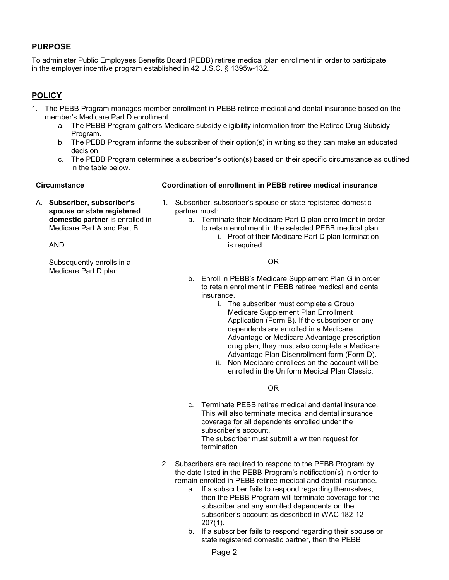## **PURPOSE**

To administer Public Employees Benefits Board (PEBB) retiree medical plan enrollment in order to participate in the employer incentive program established in 42 U.S.C. § 1395w-132.

## **POLICY**

- 1. The PEBB Program manages member enrollment in PEBB retiree medical and dental insurance based on the member's Medicare Part D enrollment.
	- a. The PEBB Program gathers Medicare subsidy eligibility information from the Retiree Drug Subsidy Program.
	- b. The PEBB Program informs the subscriber of their option(s) in writing so they can make an educated decision.
	- c. The PEBB Program determines a subscriber's option(s) based on their specific circumstance as outlined in the table below.

| <b>Circumstance</b> |                                                                                                                                          | Coordination of enrollment in PEBB retiree medical insurance |               |                                                                                                                                                                                                                                                                                                                                                                                                                                                                                                                                                                                   |
|---------------------|------------------------------------------------------------------------------------------------------------------------------------------|--------------------------------------------------------------|---------------|-----------------------------------------------------------------------------------------------------------------------------------------------------------------------------------------------------------------------------------------------------------------------------------------------------------------------------------------------------------------------------------------------------------------------------------------------------------------------------------------------------------------------------------------------------------------------------------|
|                     | A. Subscriber, subscriber's<br>spouse or state registered<br>domestic partner is enrolled in<br>Medicare Part A and Part B<br><b>AND</b> | 1.                                                           | partner must: | Subscriber, subscriber's spouse or state registered domestic<br>a. Terminate their Medicare Part D plan enrollment in order<br>to retain enrollment in the selected PEBB medical plan.<br>i. Proof of their Medicare Part D plan termination<br>is required.                                                                                                                                                                                                                                                                                                                      |
|                     | Subsequently enrolls in a<br>Medicare Part D plan                                                                                        |                                                              |               | <b>OR</b>                                                                                                                                                                                                                                                                                                                                                                                                                                                                                                                                                                         |
|                     |                                                                                                                                          |                                                              |               | b. Enroll in PEBB's Medicare Supplement Plan G in order<br>to retain enrollment in PEBB retiree medical and dental<br>insurance.<br>i. The subscriber must complete a Group<br>Medicare Supplement Plan Enrollment<br>Application (Form B). If the subscriber or any<br>dependents are enrolled in a Medicare<br>Advantage or Medicare Advantage prescription-<br>drug plan, they must also complete a Medicare<br>Advantage Plan Disenrollment form (Form D).<br>ii. Non-Medicare enrollees on the account will be<br>enrolled in the Uniform Medical Plan Classic.<br><b>OR</b> |
|                     |                                                                                                                                          |                                                              | C.            | Terminate PEBB retiree medical and dental insurance.<br>This will also terminate medical and dental insurance<br>coverage for all dependents enrolled under the<br>subscriber's account.<br>The subscriber must submit a written request for<br>termination.                                                                                                                                                                                                                                                                                                                      |
|                     |                                                                                                                                          | 2.                                                           | а.            | Subscribers are required to respond to the PEBB Program by<br>the date listed in the PEBB Program's notification(s) in order to<br>remain enrolled in PEBB retiree medical and dental insurance.<br>If a subscriber fails to respond regarding themselves,<br>then the PEBB Program will terminate coverage for the<br>subscriber and any enrolled dependents on the<br>subscriber's account as described in WAC 182-12-<br>$207(1)$ .<br>b. If a subscriber fails to respond regarding their spouse or<br>state registered domestic partner, then the PEBB                       |